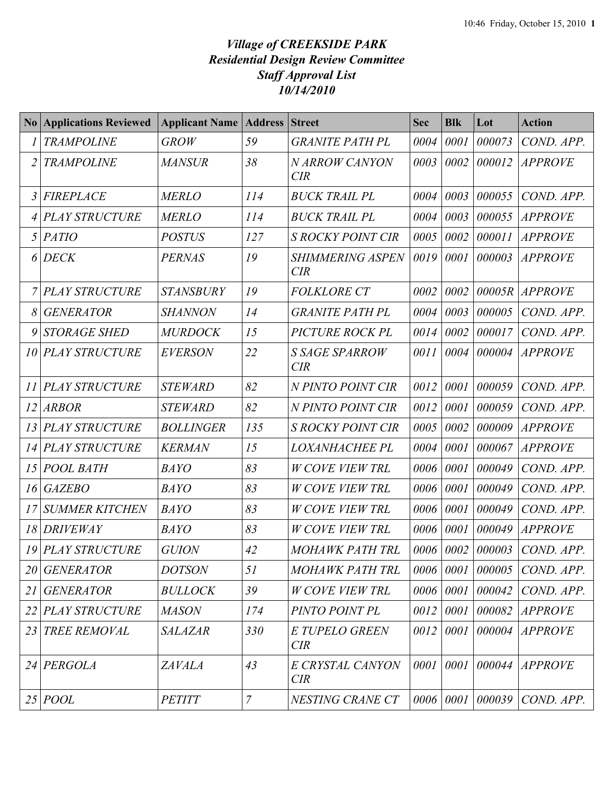## *Village of CREEKSIDE PARK Residential Design Review Committee Staff Approval List 10/14/2010*

| N <sub>0</sub> | <b>Applications Reviewed</b> | <b>Applicant Name   Address</b> |                | <b>Street</b>                  | <b>Sec</b> | <b>Blk</b>            | Lot    | <b>Action</b>  |
|----------------|------------------------------|---------------------------------|----------------|--------------------------------|------------|-----------------------|--------|----------------|
|                | <b>TRAMPOLINE</b>            | <b>GROW</b>                     | 59             | <b>GRANITE PATH PL</b>         | 0004       | 0001                  | 000073 | COND. APP.     |
| 2              | <b>TRAMPOLINE</b>            | <b>MANSUR</b>                   | 38             | N ARROW CANYON<br>CIR          | 0003       | 0002                  | 000012 | <b>APPROVE</b> |
| 3              | <b>FIREPLACE</b>             | <b>MERLO</b>                    | 114            | <b>BUCK TRAIL PL</b>           | 0004       | 0003                  | 000055 | COND. APP.     |
|                | <b>PLAY STRUCTURE</b>        | <b>MERLO</b>                    | 114            | <b>BUCK TRAIL PL</b>           | 0004       | 0003                  | 000055 | <b>APPROVE</b> |
| 5              | <b>PATIO</b>                 | <b>POSTUS</b>                   | 127            | <b>S ROCKY POINT CIR</b>       | 0005       | 0002                  | 000011 | <b>APPROVE</b> |
| 6              | <b>DECK</b>                  | <b>PERNAS</b>                   | 19             | <b>SHIMMERING ASPEN</b><br>CIR | 0019       | 0001                  | 000003 | <b>APPROVE</b> |
|                | <b>PLAY STRUCTURE</b>        | <b>STANSBURY</b>                | 19             | <b>FOLKLORE CT</b>             | 0002       | 0002                  | 00005R | <b>APPROVE</b> |
| 8              | <b>GENERATOR</b>             | <b>SHANNON</b>                  | 14             | <b>GRANITE PATH PL</b>         | 0004       | 0003                  | 000005 | COND. APP.     |
| 9              | <b>STORAGE SHED</b>          | <b>MURDOCK</b>                  | 15             | PICTURE ROCK PL                | 0014       | 0002                  | 000017 | COND. APP.     |
| 10             | <b>PLAY STRUCTURE</b>        | <b>EVERSON</b>                  | 22             | <b>S SAGE SPARROW</b><br>CIR   | 0011       | 0004                  | 000004 | <b>APPROVE</b> |
| 11             | <b>PLAY STRUCTURE</b>        | <b>STEWARD</b>                  | 82             | N PINTO POINT CIR              | 0012       | 0001                  | 000059 | COND. APP.     |
| 12             | <b>ARBOR</b>                 | <b>STEWARD</b>                  | 82             | N PINTO POINT CIR              | 0012       | 0001                  | 000059 | COND. APP.     |
| 13             | <b>PLAY STRUCTURE</b>        | <b>BOLLINGER</b>                | 135            | <b>S ROCKY POINT CIR</b>       | 0005       | 0002                  | 000009 | <b>APPROVE</b> |
| 14             | <b>PLAY STRUCTURE</b>        | <b>KERMAN</b>                   | 15             | LOXANHACHEE PL                 | 0004       | 0001                  | 000067 | <b>APPROVE</b> |
| 15             | POOL BATH                    | <b>BAYO</b>                     | 83             | <b>W COVE VIEW TRL</b>         | 0006       | 0001                  | 000049 | COND. APP.     |
| 16             | <b>GAZEBO</b>                | <b>BAYO</b>                     | 83             | <b>W COVE VIEW TRL</b>         | 0006       | 0001                  | 000049 | COND. APP.     |
| 17             | <b>SUMMER KITCHEN</b>        | <b>BAYO</b>                     | 83             | <b>W COVE VIEW TRL</b>         | 0006       | 0001                  | 000049 | COND. APP.     |
| 18             | <b>DRIVEWAY</b>              | <b>BAYO</b>                     | 83             | <b>W COVE VIEW TRL</b>         | 0006       | 0001                  | 000049 | <b>APPROVE</b> |
| 19             | <b>PLAY STRUCTURE</b>        | <b>GUION</b>                    | 42             | <b>MOHAWK PATH TRL</b>         | 0006       | 0002                  | 000003 | COND. APP.     |
| 20             | <b>GENERATOR</b>             | <b>DOTSON</b>                   | 51             | MOHAWK PATH TRL                |            | $0006 \mid 0001 \mid$ | 000005 | COND. APP.     |
| 21             | <b>GENERATOR</b>             | <b>BULLOCK</b>                  | 39             | <b>W COVE VIEW TRL</b>         |            | 0006 0001             | 000042 | COND. APP.     |
| 22             | <b>PLAY STRUCTURE</b>        | <b>MASON</b>                    | 174            | PINTO POINT PL                 | 0012       | 0001                  | 000082 | <b>APPROVE</b> |
| 23             | TREE REMOVAL                 | <b>SALAZAR</b>                  | 330            | E TUPELO GREEN<br>CIR          | 0012       | 0001                  | 000004 | <b>APPROVE</b> |
|                | 24 PERGOLA                   | <b>ZAVALA</b>                   | 43             | E CRYSTAL CANYON<br>CIR        |            | $0001$ 0001           | 000044 | <b>APPROVE</b> |
| 25             | <b>POOL</b>                  | <b>PETITT</b>                   | $\overline{7}$ | NESTING CRANE CT               |            | 0006 0001             | 000039 | COND. APP.     |